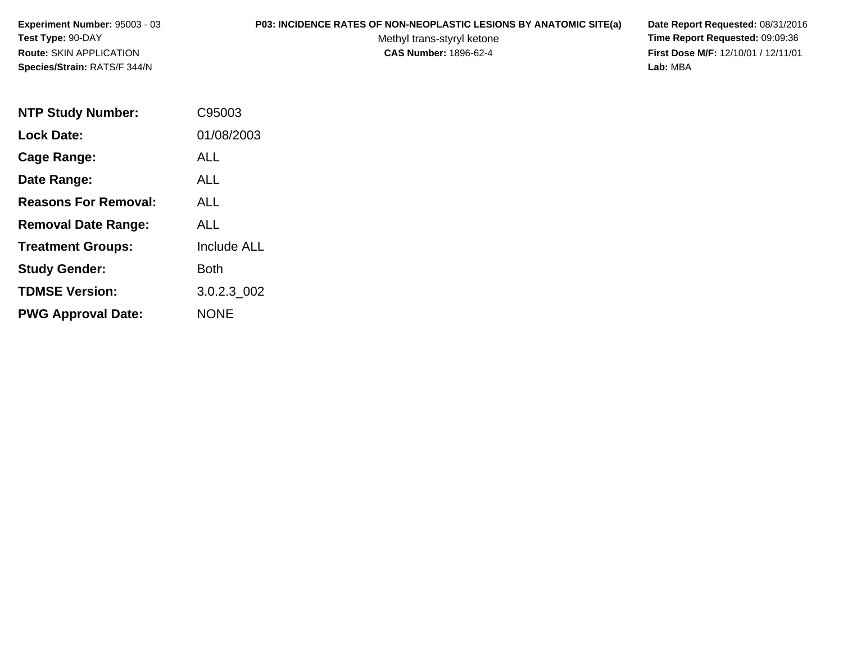## **P03: INCIDENCE RATES OF NON-NEOPLASTIC LESIONS BY ANATOMIC SITE(a) Date Report Requested:** 08/31/2016

Methyl trans-styryl ketone<br>CAS Number: 1896-62-4

 **Time Report Requested:** 09:09:36 **First Dose M/F:** 12/10/01 / 12/11/01<br>Lab: MBA **Lab:** MBA

| <b>NTP Study Number:</b>    | C95003      |
|-----------------------------|-------------|
| <b>Lock Date:</b>           | 01/08/2003  |
| Cage Range:                 | ALL         |
| Date Range:                 | ALL.        |
| <b>Reasons For Removal:</b> | ALL         |
| <b>Removal Date Range:</b>  | ALL         |
| <b>Treatment Groups:</b>    | Include ALL |
| <b>Study Gender:</b>        | <b>Both</b> |
| <b>TDMSE Version:</b>       | 3.0.2.3_002 |
| <b>PWG Approval Date:</b>   | NONE        |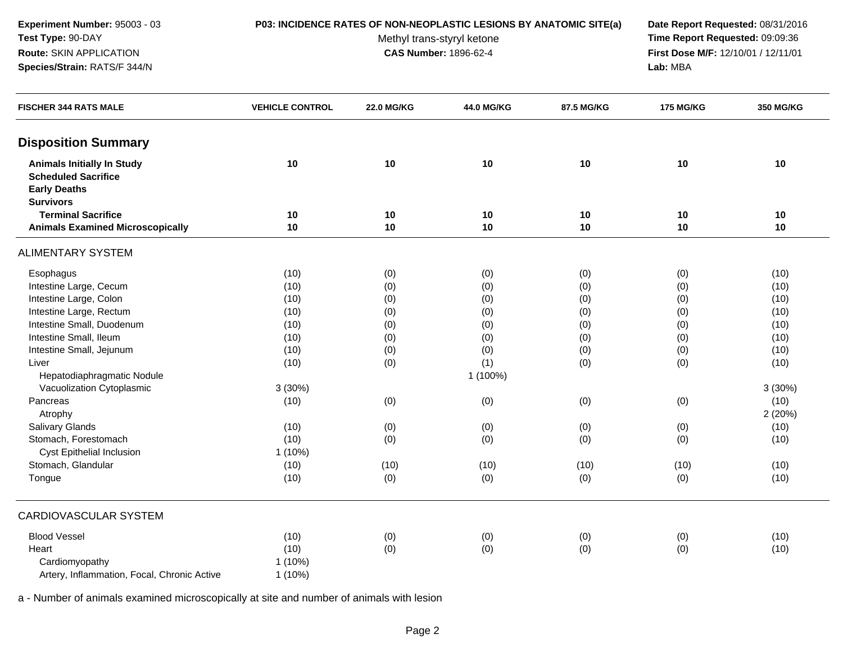### **P03: INCIDENCE RATES OF NON-NEOPLASTIC LESIONS BY ANATOMIC SITE(a) Date Report Requested:** 08/31/2016

Methyl trans-styryl ketone<br>CAS Number: 1896-62-4

 **Time Report Requested:** 09:09:36 **First Dose M/F:** 12/10/01 / 12/11/01<br>Lab: MBA **Lab:** MBA

| <b>FISCHER 344 RATS MALE</b>                                                                               | <b>VEHICLE CONTROL</b> | <b>22.0 MG/KG</b> | 44.0 MG/KG | 87.5 MG/KG | <b>175 MG/KG</b> | 350 MG/KG |
|------------------------------------------------------------------------------------------------------------|------------------------|-------------------|------------|------------|------------------|-----------|
| <b>Disposition Summary</b>                                                                                 |                        |                   |            |            |                  |           |
| <b>Animals Initially In Study</b><br><b>Scheduled Sacrifice</b><br><b>Early Deaths</b><br><b>Survivors</b> | 10                     | 10                | 10         | 10         | 10               | 10        |
| <b>Terminal Sacrifice</b>                                                                                  | 10                     | 10                | 10         | 10         | 10               | 10        |
| <b>Animals Examined Microscopically</b>                                                                    | 10                     | 10                | 10         | 10         | 10               | 10        |
| <b>ALIMENTARY SYSTEM</b>                                                                                   |                        |                   |            |            |                  |           |
| Esophagus                                                                                                  | (10)                   | (0)               | (0)        | (0)        | (0)              | (10)      |
| Intestine Large, Cecum                                                                                     | (10)                   | (0)               | (0)        | (0)        | (0)              | (10)      |
| Intestine Large, Colon                                                                                     | (10)                   | (0)               | (0)        | (0)        | (0)              | (10)      |
| Intestine Large, Rectum                                                                                    | (10)                   | (0)               | (0)        | (0)        | (0)              | (10)      |
| Intestine Small, Duodenum                                                                                  | (10)                   | (0)               | (0)        | (0)        | (0)              | (10)      |
| Intestine Small, Ileum                                                                                     | (10)                   | (0)               | (0)        | (0)        | (0)              | (10)      |
| Intestine Small, Jejunum                                                                                   | (10)                   | (0)               | (0)        | (0)        | (0)              | (10)      |
| Liver                                                                                                      | (10)                   | (0)               | (1)        | (0)        | (0)              | (10)      |
| Hepatodiaphragmatic Nodule                                                                                 |                        |                   | 1 (100%)   |            |                  |           |
| Vacuolization Cytoplasmic                                                                                  | 3(30%)                 |                   |            |            |                  | 3(30%)    |
| Pancreas                                                                                                   | (10)                   | (0)               | (0)        | (0)        | (0)              | (10)      |
| Atrophy                                                                                                    |                        |                   |            |            |                  | 2(20%)    |
| Salivary Glands                                                                                            | (10)                   | (0)               | (0)        | (0)        | (0)              | (10)      |
| Stomach, Forestomach                                                                                       | (10)                   | (0)               | (0)        | (0)        | (0)              | (10)      |
| <b>Cyst Epithelial Inclusion</b>                                                                           | 1 (10%)                |                   |            |            |                  |           |
| Stomach, Glandular                                                                                         | (10)                   | (10)              | (10)       | (10)       | (10)             | (10)      |
| Tongue                                                                                                     | (10)                   | (0)               | (0)        | (0)        | (0)              | (10)      |
| <b>CARDIOVASCULAR SYSTEM</b>                                                                               |                        |                   |            |            |                  |           |
| <b>Blood Vessel</b>                                                                                        | (10)                   | (0)               | (0)        | (0)        | (0)              | (10)      |
| Heart                                                                                                      | (10)                   | (0)               | (0)        | (0)        | (0)              | (10)      |
| Cardiomyopathy                                                                                             | 1(10%)                 |                   |            |            |                  |           |
| Artery, Inflammation, Focal, Chronic Active                                                                | 1 (10%)                |                   |            |            |                  |           |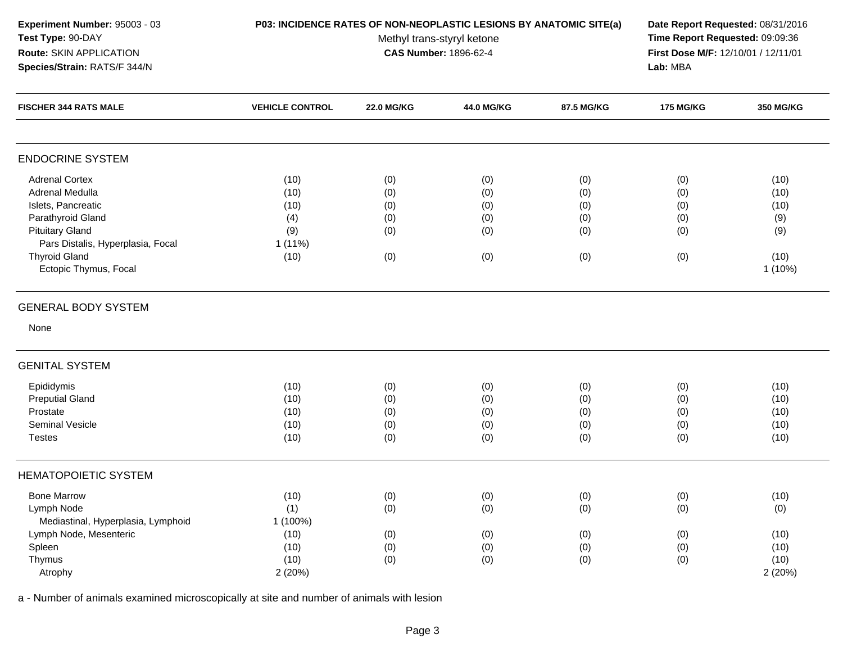| Experiment Number: 95003 - 03<br>Test Type: 90-DAY<br>Route: SKIN APPLICATION<br>Species/Strain: RATS/F 344/N                                                                                       | P03: INCIDENCE RATES OF NON-NEOPLASTIC LESIONS BY ANATOMIC SITE(a) | Date Report Requested: 08/31/2016<br>Time Report Requested: 09:09:36<br>First Dose M/F: 12/10/01 / 12/11/01<br>Lab: MBA |                                        |                                        |                                        |                                                         |
|-----------------------------------------------------------------------------------------------------------------------------------------------------------------------------------------------------|--------------------------------------------------------------------|-------------------------------------------------------------------------------------------------------------------------|----------------------------------------|----------------------------------------|----------------------------------------|---------------------------------------------------------|
| <b>FISCHER 344 RATS MALE</b>                                                                                                                                                                        | <b>VEHICLE CONTROL</b>                                             | <b>22.0 MG/KG</b>                                                                                                       | 44.0 MG/KG                             | 87.5 MG/KG                             | <b>175 MG/KG</b>                       | 350 MG/KG                                               |
| <b>ENDOCRINE SYSTEM</b>                                                                                                                                                                             |                                                                    |                                                                                                                         |                                        |                                        |                                        |                                                         |
| <b>Adrenal Cortex</b><br>Adrenal Medulla<br>Islets, Pancreatic<br>Parathyroid Gland<br><b>Pituitary Gland</b><br>Pars Distalis, Hyperplasia, Focal<br><b>Thyroid Gland</b><br>Ectopic Thymus, Focal | (10)<br>(10)<br>(10)<br>(4)<br>(9)<br>1 (11%)<br>(10)              | (0)<br>(0)<br>(0)<br>(0)<br>(0)<br>(0)                                                                                  | (0)<br>(0)<br>(0)<br>(0)<br>(0)<br>(0) | (0)<br>(0)<br>(0)<br>(0)<br>(0)<br>(0) | (0)<br>(0)<br>(0)<br>(0)<br>(0)<br>(0) | (10)<br>(10)<br>(10)<br>(9)<br>(9)<br>(10)<br>$1(10\%)$ |
| <b>GENERAL BODY SYSTEM</b><br>None                                                                                                                                                                  |                                                                    |                                                                                                                         |                                        |                                        |                                        |                                                         |
| <b>GENITAL SYSTEM</b>                                                                                                                                                                               |                                                                    |                                                                                                                         |                                        |                                        |                                        |                                                         |
| Epididymis<br><b>Preputial Gland</b><br>Prostate<br>Seminal Vesicle<br><b>Testes</b>                                                                                                                | (10)<br>(10)<br>(10)<br>(10)<br>(10)                               | (0)<br>(0)<br>(0)<br>(0)<br>(0)                                                                                         | (0)<br>(0)<br>(0)<br>(0)<br>(0)        | (0)<br>(0)<br>(0)<br>(0)<br>(0)        | (0)<br>(0)<br>(0)<br>(0)<br>(0)        | (10)<br>(10)<br>(10)<br>(10)<br>(10)                    |
| <b>HEMATOPOIETIC SYSTEM</b>                                                                                                                                                                         |                                                                    |                                                                                                                         |                                        |                                        |                                        |                                                         |
| <b>Bone Marrow</b><br>Lymph Node<br>Mediastinal, Hyperplasia, Lymphoid                                                                                                                              | (10)<br>(1)<br>1 (100%)                                            | (0)<br>(0)                                                                                                              | (0)<br>(0)                             | (0)<br>(0)                             | (0)<br>(0)                             | (10)<br>(0)                                             |
| Lymph Node, Mesenteric<br>Spleen<br>Thymus<br>Atrophy                                                                                                                                               | (10)<br>(10)<br>(10)<br>2(20%)                                     | (0)<br>(0)<br>(0)                                                                                                       | (0)<br>(0)<br>(0)                      | (0)<br>(0)<br>(0)                      | (0)<br>(0)<br>(0)                      | (10)<br>(10)<br>(10)<br>2(20%)                          |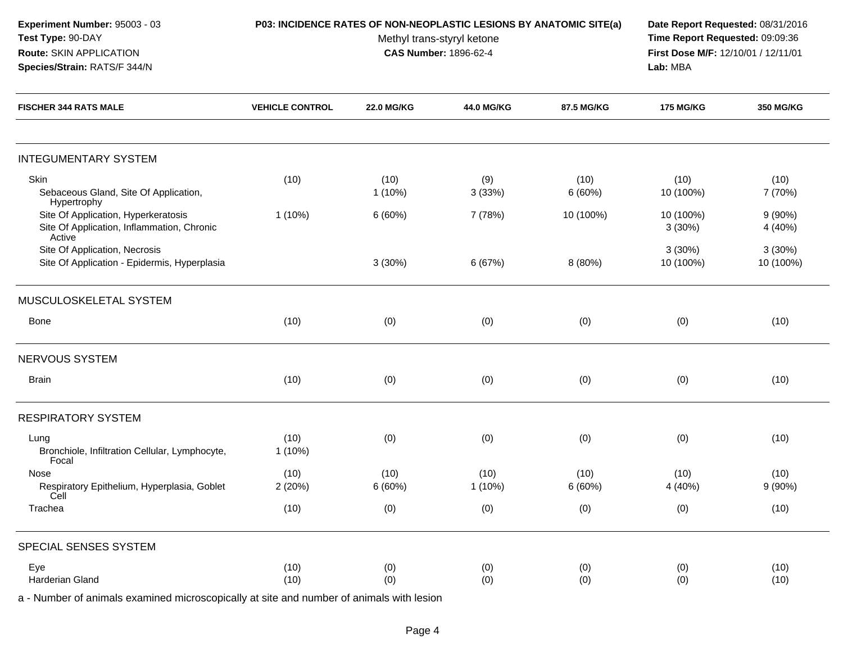| Experiment Number: 95003 - 03<br>Test Type: 90-DAY<br>Route: SKIN APPLICATION<br>Species/Strain: RATS/F 344/N | P03: INCIDENCE RATES OF NON-NEOPLASTIC LESIONS BY ANATOMIC SITE(a) | Methyl trans-styryl ketone<br><b>CAS Number: 1896-62-4</b> | Date Report Requested: 08/31/2016<br>Time Report Requested: 09:09:36<br>First Dose M/F: 12/10/01 / 12/11/01<br>Lab: MBA |                |                     |                      |
|---------------------------------------------------------------------------------------------------------------|--------------------------------------------------------------------|------------------------------------------------------------|-------------------------------------------------------------------------------------------------------------------------|----------------|---------------------|----------------------|
| <b>FISCHER 344 RATS MALE</b>                                                                                  | <b>VEHICLE CONTROL</b>                                             | <b>22.0 MG/KG</b>                                          | 44.0 MG/KG                                                                                                              | 87.5 MG/KG     | <b>175 MG/KG</b>    | 350 MG/KG            |
| <b>INTEGUMENTARY SYSTEM</b>                                                                                   |                                                                    |                                                            |                                                                                                                         |                |                     |                      |
| Skin<br>Sebaceous Gland, Site Of Application,<br>Hypertrophy                                                  | (10)                                                               | (10)<br>1(10%)                                             | (9)<br>3(33%)                                                                                                           | (10)<br>6(60%) | (10)<br>10 (100%)   | (10)<br>7 (70%)      |
| Site Of Application, Hyperkeratosis<br>Site Of Application, Inflammation, Chronic<br>Active                   | $1(10\%)$                                                          | 6(60%)                                                     | 7 (78%)                                                                                                                 | 10 (100%)      | 10 (100%)<br>3(30%) | $9(90\%)$<br>4 (40%) |
| Site Of Application, Necrosis<br>Site Of Application - Epidermis, Hyperplasia                                 |                                                                    | 3(30%)                                                     | 6 (67%)                                                                                                                 | 8 (80%)        | 3(30%)<br>10 (100%) | 3(30%)<br>10 (100%)  |
| MUSCULOSKELETAL SYSTEM                                                                                        |                                                                    |                                                            |                                                                                                                         |                |                     |                      |
| <b>Bone</b>                                                                                                   | (10)                                                               | (0)                                                        | (0)                                                                                                                     | (0)            | (0)                 | (10)                 |
| NERVOUS SYSTEM                                                                                                |                                                                    |                                                            |                                                                                                                         |                |                     |                      |
| Brain                                                                                                         | (10)                                                               | (0)                                                        | (0)                                                                                                                     | (0)            | (0)                 | (10)                 |
| <b>RESPIRATORY SYSTEM</b>                                                                                     |                                                                    |                                                            |                                                                                                                         |                |                     |                      |
| Lung<br>Bronchiole, Infiltration Cellular, Lymphocyte,<br>Focal                                               | (10)<br>$1(10\%)$                                                  | (0)                                                        | (0)                                                                                                                     | (0)            | (0)                 | (10)                 |
| Nose<br>Respiratory Epithelium, Hyperplasia, Goblet<br>Cell                                                   | (10)<br>2(20%)                                                     | (10)<br>6(60%)                                             | (10)<br>$1(10\%)$                                                                                                       | (10)<br>6(60%) | (10)<br>4 (40%)     | (10)<br>9(90%)       |
| Trachea                                                                                                       | (10)                                                               | (0)                                                        | (0)                                                                                                                     | (0)            | (0)                 | (10)                 |
| SPECIAL SENSES SYSTEM                                                                                         |                                                                    |                                                            |                                                                                                                         |                |                     |                      |
| Eye<br>Harderian Gland                                                                                        | (10)<br>(10)                                                       | (0)<br>(0)                                                 | (0)<br>(0)                                                                                                              | (0)<br>(0)     | (0)<br>(0)          | (10)<br>(10)         |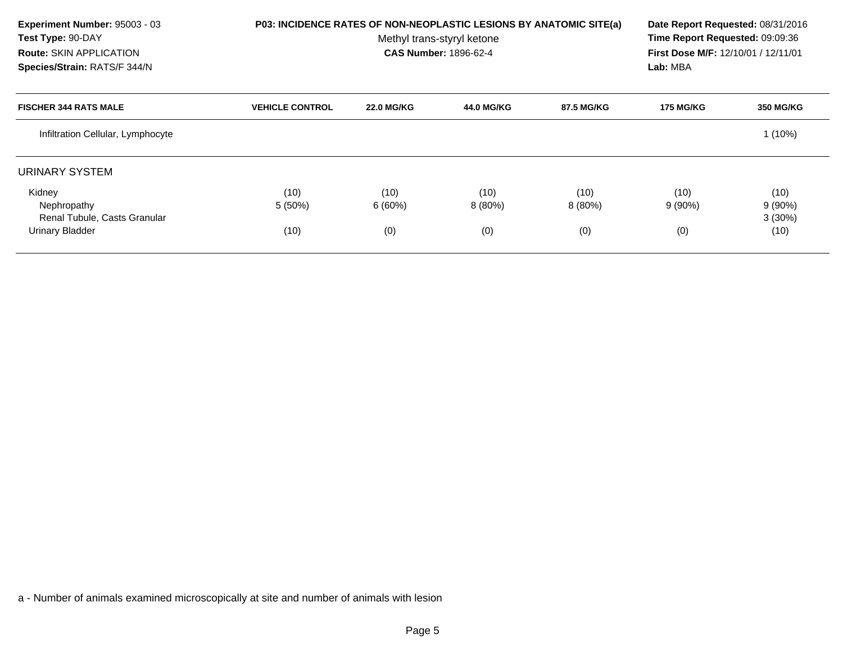| Experiment Number: 95003 - 03<br>Test Type: 90-DAY<br><b>Route: SKIN APPLICATION</b><br>Species/Strain: RATS/F 344/N |                        | P03: INCIDENCE RATES OF NON-NEOPLASTIC LESIONS BY ANATOMIC SITE(a)<br>Methyl trans-styryl ketone<br><b>CAS Number: 1896-62-4</b> |                |                |                  |                                |
|----------------------------------------------------------------------------------------------------------------------|------------------------|----------------------------------------------------------------------------------------------------------------------------------|----------------|----------------|------------------|--------------------------------|
| <b>FISCHER 344 RATS MALE</b>                                                                                         | <b>VEHICLE CONTROL</b> | <b>22.0 MG/KG</b>                                                                                                                | 44.0 MG/KG     | 87.5 MG/KG     | <b>175 MG/KG</b> | <b>350 MG/KG</b>               |
| Infiltration Cellular, Lymphocyte                                                                                    |                        |                                                                                                                                  |                |                |                  | $1(10\%)$                      |
| URINARY SYSTEM                                                                                                       |                        |                                                                                                                                  |                |                |                  |                                |
| Kidney<br>Nephropathy<br>Renal Tubule, Casts Granular                                                                | (10)<br>5 (50%)        | (10)<br>6(60%)                                                                                                                   | (10)<br>8(80%) | (10)<br>8(80%) | (10)<br>9(90%)   | (10)<br>$9(90\%)$<br>$3(30\%)$ |
| Urinary Bladder                                                                                                      | (10)                   | (0)                                                                                                                              | (0)            | (0)            | (0)              | (10)                           |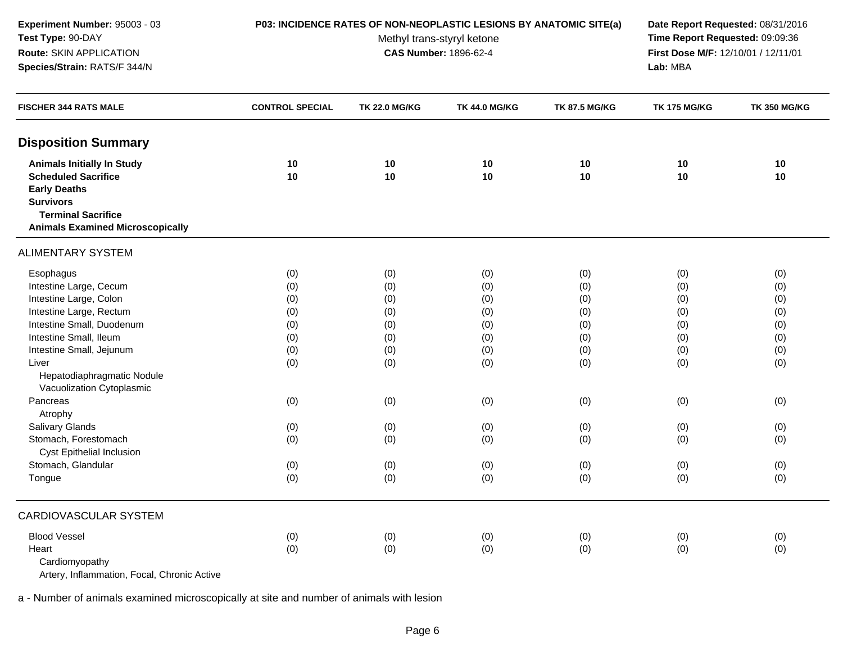| Experiment Number: 95003 - 03<br>Test Type: 90-DAY<br>Route: SKIN APPLICATION<br>Species/Strain: RATS/F 344/N                                                                                                                                                                                                                                                                  | P03: INCIDENCE RATES OF NON-NEOPLASTIC LESIONS BY ANATOMIC SITE(a)                      | Date Report Requested: 08/31/2016<br>Time Report Requested: 09:09:36<br>First Dose M/F: 12/10/01 / 12/11/01<br>Lab: MBA |                                                                                         |                                                                                         |                                                                                         |                                                                                         |
|--------------------------------------------------------------------------------------------------------------------------------------------------------------------------------------------------------------------------------------------------------------------------------------------------------------------------------------------------------------------------------|-----------------------------------------------------------------------------------------|-------------------------------------------------------------------------------------------------------------------------|-----------------------------------------------------------------------------------------|-----------------------------------------------------------------------------------------|-----------------------------------------------------------------------------------------|-----------------------------------------------------------------------------------------|
| <b>FISCHER 344 RATS MALE</b>                                                                                                                                                                                                                                                                                                                                                   | <b>CONTROL SPECIAL</b>                                                                  | <b>TK 22.0 MG/KG</b>                                                                                                    | <b>TK 44.0 MG/KG</b>                                                                    | <b>TK 87.5 MG/KG</b>                                                                    | <b>TK 175 MG/KG</b>                                                                     | <b>TK 350 MG/KG</b>                                                                     |
| <b>Disposition Summary</b>                                                                                                                                                                                                                                                                                                                                                     |                                                                                         |                                                                                                                         |                                                                                         |                                                                                         |                                                                                         |                                                                                         |
| <b>Animals Initially In Study</b><br><b>Scheduled Sacrifice</b><br><b>Early Deaths</b><br><b>Survivors</b><br><b>Terminal Sacrifice</b><br><b>Animals Examined Microscopically</b>                                                                                                                                                                                             | 10<br>10                                                                                | 10<br>10                                                                                                                | 10<br>10                                                                                | $10$<br>10                                                                              | 10<br>10                                                                                | 10<br>10                                                                                |
| <b>ALIMENTARY SYSTEM</b>                                                                                                                                                                                                                                                                                                                                                       |                                                                                         |                                                                                                                         |                                                                                         |                                                                                         |                                                                                         |                                                                                         |
| Esophagus<br>Intestine Large, Cecum<br>Intestine Large, Colon<br>Intestine Large, Rectum<br>Intestine Small, Duodenum<br>Intestine Small, Ileum<br>Intestine Small, Jejunum<br>Liver<br>Hepatodiaphragmatic Nodule<br>Vacuolization Cytoplasmic<br>Pancreas<br>Atrophy<br>Salivary Glands<br>Stomach, Forestomach<br>Cyst Epithelial Inclusion<br>Stomach, Glandular<br>Tongue | (0)<br>(0)<br>(0)<br>(0)<br>(0)<br>(0)<br>(0)<br>(0)<br>(0)<br>(0)<br>(0)<br>(0)<br>(0) | (0)<br>(0)<br>(0)<br>(0)<br>(0)<br>(0)<br>(0)<br>(0)<br>(0)<br>(0)<br>(0)<br>(0)<br>(0)                                 | (0)<br>(0)<br>(0)<br>(0)<br>(0)<br>(0)<br>(0)<br>(0)<br>(0)<br>(0)<br>(0)<br>(0)<br>(0) | (0)<br>(0)<br>(0)<br>(0)<br>(0)<br>(0)<br>(0)<br>(0)<br>(0)<br>(0)<br>(0)<br>(0)<br>(0) | (0)<br>(0)<br>(0)<br>(0)<br>(0)<br>(0)<br>(0)<br>(0)<br>(0)<br>(0)<br>(0)<br>(0)<br>(0) | (0)<br>(0)<br>(0)<br>(0)<br>(0)<br>(0)<br>(0)<br>(0)<br>(0)<br>(0)<br>(0)<br>(0)<br>(0) |
| <b>CARDIOVASCULAR SYSTEM</b>                                                                                                                                                                                                                                                                                                                                                   |                                                                                         |                                                                                                                         |                                                                                         |                                                                                         |                                                                                         |                                                                                         |
| <b>Blood Vessel</b><br>Heart<br>Cardiomyopathy                                                                                                                                                                                                                                                                                                                                 | (0)<br>(0)                                                                              | (0)<br>(0)                                                                                                              | (0)<br>(0)                                                                              | (0)<br>(0)                                                                              | (0)<br>(0)                                                                              | (0)<br>(0)                                                                              |

Artery, Inflammation, Focal, Chronic Active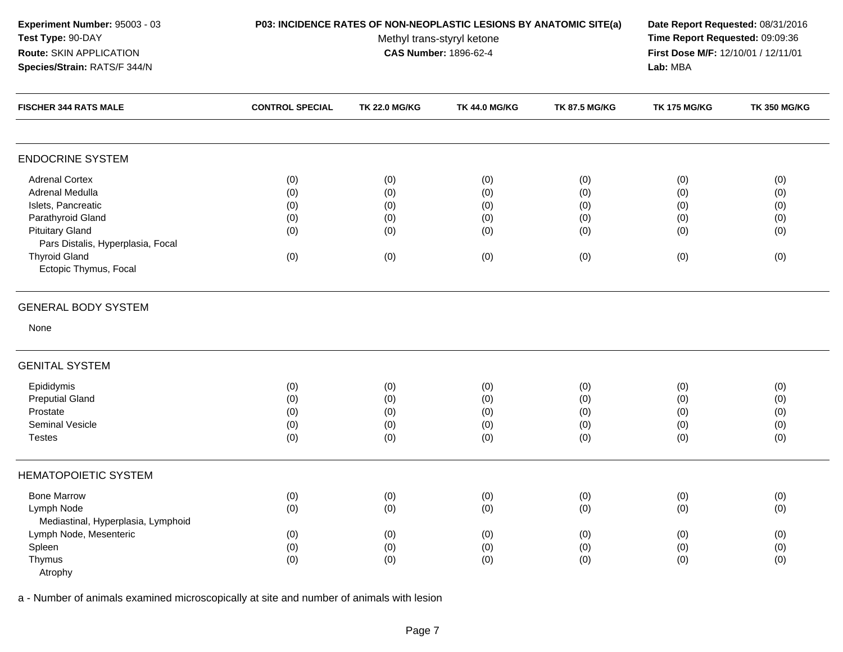| Experiment Number: 95003 - 03<br>Test Type: 90-DAY<br>Route: SKIN APPLICATION<br>Species/Strain: RATS/F 344/N                                                                                       | P03: INCIDENCE RATES OF NON-NEOPLASTIC LESIONS BY ANATOMIC SITE(a) | Date Report Requested: 08/31/2016<br>Time Report Requested: 09:09:36<br>First Dose M/F: 12/10/01 / 12/11/01<br>Lab: MBA |                                        |                                        |                                        |                                        |
|-----------------------------------------------------------------------------------------------------------------------------------------------------------------------------------------------------|--------------------------------------------------------------------|-------------------------------------------------------------------------------------------------------------------------|----------------------------------------|----------------------------------------|----------------------------------------|----------------------------------------|
| <b>FISCHER 344 RATS MALE</b>                                                                                                                                                                        | <b>CONTROL SPECIAL</b>                                             | <b>TK 22.0 MG/KG</b>                                                                                                    | <b>TK 44.0 MG/KG</b>                   | <b>TK 87.5 MG/KG</b>                   | <b>TK 175 MG/KG</b>                    | <b>TK 350 MG/KG</b>                    |
| <b>ENDOCRINE SYSTEM</b>                                                                                                                                                                             |                                                                    |                                                                                                                         |                                        |                                        |                                        |                                        |
| <b>Adrenal Cortex</b><br>Adrenal Medulla<br>Islets, Pancreatic<br>Parathyroid Gland<br><b>Pituitary Gland</b><br>Pars Distalis, Hyperplasia, Focal<br><b>Thyroid Gland</b><br>Ectopic Thymus, Focal | (0)<br>(0)<br>(0)<br>(0)<br>(0)<br>(0)                             | (0)<br>(0)<br>(0)<br>(0)<br>(0)<br>(0)                                                                                  | (0)<br>(0)<br>(0)<br>(0)<br>(0)<br>(0) | (0)<br>(0)<br>(0)<br>(0)<br>(0)<br>(0) | (0)<br>(0)<br>(0)<br>(0)<br>(0)<br>(0) | (0)<br>(0)<br>(0)<br>(0)<br>(0)<br>(0) |
| <b>GENERAL BODY SYSTEM</b><br>None                                                                                                                                                                  |                                                                    |                                                                                                                         |                                        |                                        |                                        |                                        |
| <b>GENITAL SYSTEM</b>                                                                                                                                                                               |                                                                    |                                                                                                                         |                                        |                                        |                                        |                                        |
| Epididymis<br><b>Preputial Gland</b><br>Prostate<br>Seminal Vesicle<br><b>Testes</b>                                                                                                                | (0)<br>(0)<br>(0)<br>(0)<br>(0)                                    | (0)<br>(0)<br>(0)<br>(0)<br>(0)                                                                                         | (0)<br>(0)<br>(0)<br>(0)<br>(0)        | (0)<br>(0)<br>(0)<br>(0)<br>(0)        | (0)<br>(0)<br>(0)<br>(0)<br>(0)        | (0)<br>(0)<br>(0)<br>(0)<br>(0)        |
| <b>HEMATOPOIETIC SYSTEM</b>                                                                                                                                                                         |                                                                    |                                                                                                                         |                                        |                                        |                                        |                                        |
| <b>Bone Marrow</b><br>Lymph Node<br>Mediastinal, Hyperplasia, Lymphoid                                                                                                                              | (0)<br>(0)                                                         | (0)<br>(0)                                                                                                              | (0)<br>(0)                             | (0)<br>(0)                             | (0)<br>(0)                             | (0)<br>(0)                             |
| Lymph Node, Mesenteric<br>Spleen<br>Thymus<br>Atrophy                                                                                                                                               | (0)<br>(0)<br>(0)                                                  | (0)<br>(0)<br>(0)                                                                                                       | (0)<br>(0)<br>(0)                      | (0)<br>(0)<br>(0)                      | (0)<br>(0)<br>(0)                      | (0)<br>(0)<br>(0)                      |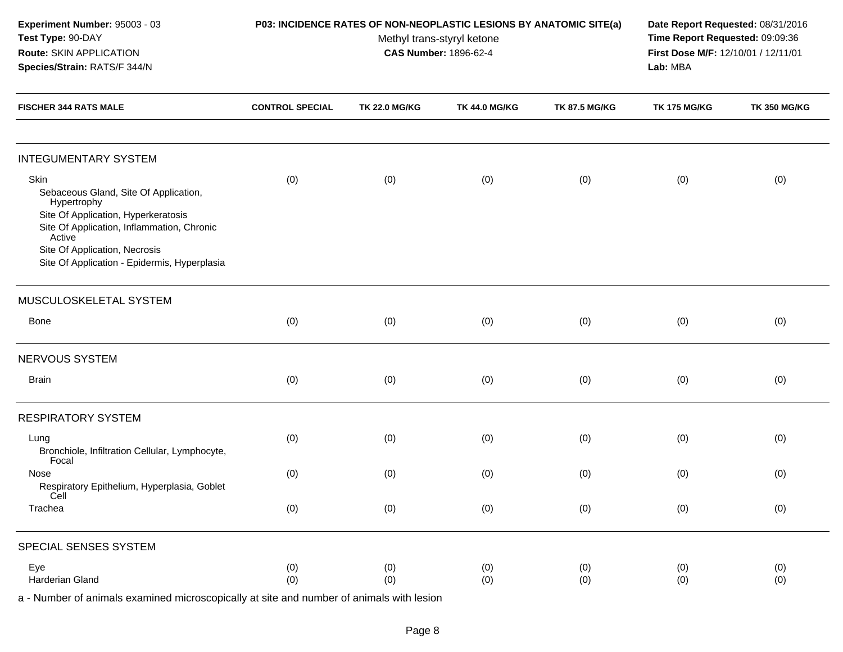| Experiment Number: 95003 - 03<br>Test Type: 90-DAY<br>Route: SKIN APPLICATION<br>Species/Strain: RATS/F 344/N                                                                                                                                |                        | P03: INCIDENCE RATES OF NON-NEOPLASTIC LESIONS BY ANATOMIC SITE(a)<br>Methyl trans-styryl ketone<br><b>CAS Number: 1896-62-4</b> | Date Report Requested: 08/31/2016<br>Time Report Requested: 09:09:36<br>First Dose M/F: 12/10/01 / 12/11/01<br>Lab: MBA |                      |                     |                     |
|----------------------------------------------------------------------------------------------------------------------------------------------------------------------------------------------------------------------------------------------|------------------------|----------------------------------------------------------------------------------------------------------------------------------|-------------------------------------------------------------------------------------------------------------------------|----------------------|---------------------|---------------------|
| <b>FISCHER 344 RATS MALE</b>                                                                                                                                                                                                                 | <b>CONTROL SPECIAL</b> | <b>TK 22.0 MG/KG</b>                                                                                                             | <b>TK 44.0 MG/KG</b>                                                                                                    | <b>TK 87.5 MG/KG</b> | <b>TK 175 MG/KG</b> | <b>TK 350 MG/KG</b> |
| <b>INTEGUMENTARY SYSTEM</b>                                                                                                                                                                                                                  |                        |                                                                                                                                  |                                                                                                                         |                      |                     |                     |
| Skin<br>Sebaceous Gland, Site Of Application,<br>Hypertrophy<br>Site Of Application, Hyperkeratosis<br>Site Of Application, Inflammation, Chronic<br>Active<br>Site Of Application, Necrosis<br>Site Of Application - Epidermis, Hyperplasia | (0)                    | (0)                                                                                                                              | (0)                                                                                                                     | (0)                  | (0)                 | (0)                 |
| MUSCULOSKELETAL SYSTEM                                                                                                                                                                                                                       |                        |                                                                                                                                  |                                                                                                                         |                      |                     |                     |
| Bone                                                                                                                                                                                                                                         | (0)                    | (0)                                                                                                                              | (0)                                                                                                                     | (0)                  | (0)                 | (0)                 |
| NERVOUS SYSTEM                                                                                                                                                                                                                               |                        |                                                                                                                                  |                                                                                                                         |                      |                     |                     |
| <b>Brain</b>                                                                                                                                                                                                                                 | (0)                    | (0)                                                                                                                              | (0)                                                                                                                     | (0)                  | (0)                 | (0)                 |
| <b>RESPIRATORY SYSTEM</b>                                                                                                                                                                                                                    |                        |                                                                                                                                  |                                                                                                                         |                      |                     |                     |
| Lung<br>Bronchiole, Infiltration Cellular, Lymphocyte,<br>Focal                                                                                                                                                                              | (0)                    | (0)                                                                                                                              | (0)                                                                                                                     | (0)                  | (0)                 | (0)                 |
| Nose<br>Respiratory Epithelium, Hyperplasia, Goblet<br>Cell                                                                                                                                                                                  | (0)                    | (0)                                                                                                                              | (0)                                                                                                                     | (0)                  | (0)                 | (0)                 |
| Trachea                                                                                                                                                                                                                                      | (0)                    | (0)                                                                                                                              | (0)                                                                                                                     | (0)                  | (0)                 | (0)                 |
| SPECIAL SENSES SYSTEM                                                                                                                                                                                                                        |                        |                                                                                                                                  |                                                                                                                         |                      |                     |                     |
| Eye<br>Harderian Gland                                                                                                                                                                                                                       | (0)<br>(0)             | (0)<br>(0)                                                                                                                       | (0)<br>(0)                                                                                                              | (0)<br>(0)           | (0)<br>(0)          | (0)<br>(0)          |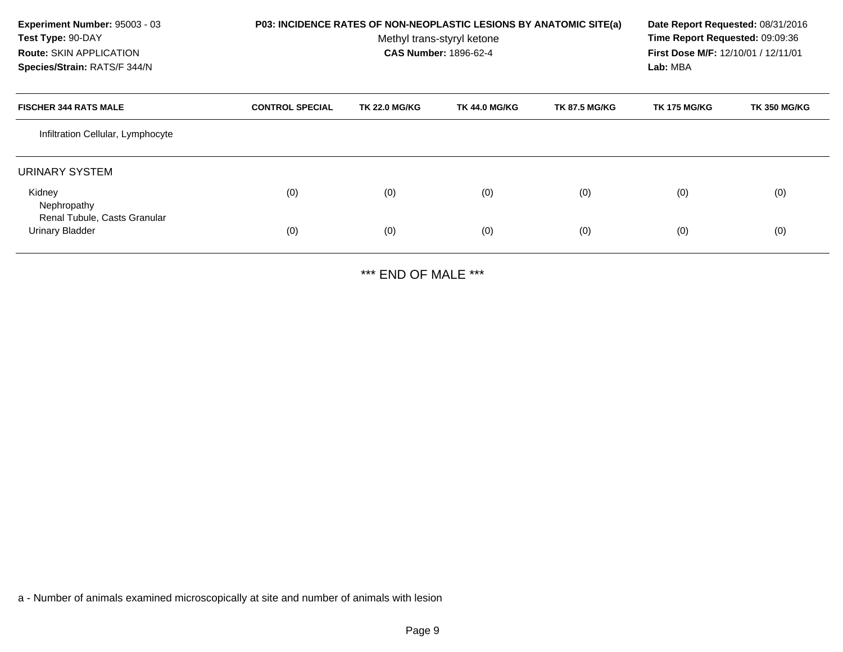| Experiment Number: 95003 - 03<br>Test Type: 90-DAY<br><b>Route: SKIN APPLICATION</b><br>Species/Strain: RATS/F 344/N | P03: INCIDENCE RATES OF NON-NEOPLASTIC LESIONS BY ANATOMIC SITE(a) | Date Report Requested: 08/31/2016<br>Time Report Requested: 09:09:36<br>First Dose M/F: 12/10/01 / 12/11/01<br>Lab: MBA |                      |                      |                     |                     |
|----------------------------------------------------------------------------------------------------------------------|--------------------------------------------------------------------|-------------------------------------------------------------------------------------------------------------------------|----------------------|----------------------|---------------------|---------------------|
| <b>FISCHER 344 RATS MALE</b>                                                                                         | <b>CONTROL SPECIAL</b>                                             | <b>TK 22.0 MG/KG</b>                                                                                                    | <b>TK 44.0 MG/KG</b> | <b>TK 87.5 MG/KG</b> | <b>TK 175 MG/KG</b> | <b>TK 350 MG/KG</b> |
| Infiltration Cellular, Lymphocyte                                                                                    |                                                                    |                                                                                                                         |                      |                      |                     |                     |
| URINARY SYSTEM                                                                                                       |                                                                    |                                                                                                                         |                      |                      |                     |                     |
| Kidney<br>Nephropathy<br>Renal Tubule, Casts Granular                                                                | (0)                                                                | (0)                                                                                                                     | (0)                  | (0)                  | (0)                 | (0)                 |
| <b>Urinary Bladder</b>                                                                                               | (0)                                                                | (0)                                                                                                                     | (0)                  | (0)                  | (0)                 | (0)                 |

\*\*\* END OF MALE \*\*\*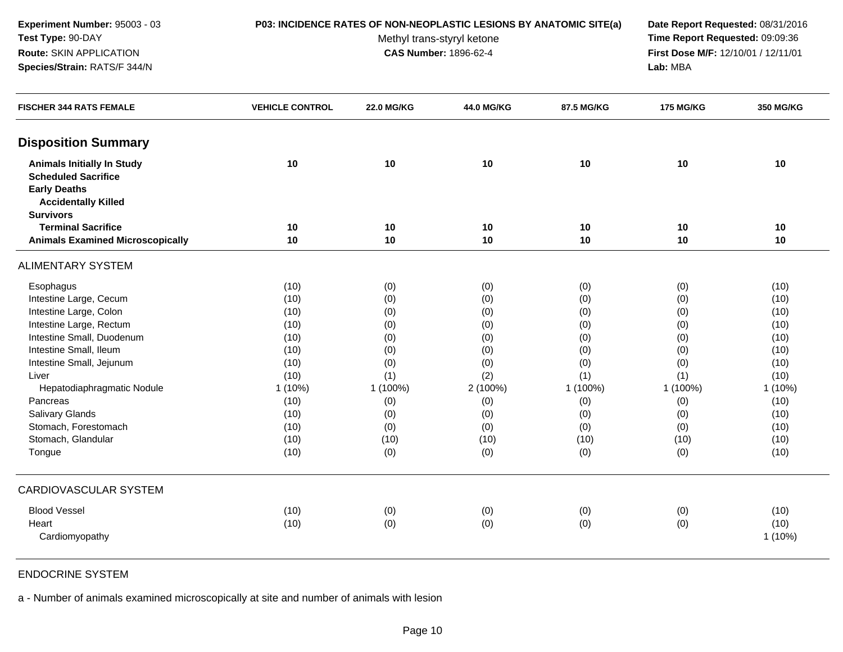### **P03: INCIDENCE RATES OF NON-NEOPLASTIC LESIONS BY ANATOMIC SITE(a) Date Report Requested:** 08/31/2016

Methyl trans-styryl ketone<br>CAS Number: 1896-62-4

 **Time Report Requested:** 09:09:36 **First Dose M/F:** 12/10/01 / 12/11/01<br>Lab: MBA **Lab:** MBA

| <b>FISCHER 344 RATS FEMALE</b>                                                                                       | <b>VEHICLE CONTROL</b> | <b>22.0 MG/KG</b> | 44.0 MG/KG | 87.5 MG/KG | <b>175 MG/KG</b> | <b>350 MG/KG</b> |
|----------------------------------------------------------------------------------------------------------------------|------------------------|-------------------|------------|------------|------------------|------------------|
| <b>Disposition Summary</b>                                                                                           |                        |                   |            |            |                  |                  |
| <b>Animals Initially In Study</b><br><b>Scheduled Sacrifice</b><br><b>Early Deaths</b><br><b>Accidentally Killed</b> | 10                     | 10                | 10         | 10         | 10               | 10               |
| <b>Survivors</b>                                                                                                     |                        |                   |            |            |                  |                  |
| <b>Terminal Sacrifice</b>                                                                                            | 10                     | 10                | 10         | 10         | 10               | 10               |
| <b>Animals Examined Microscopically</b>                                                                              | 10                     | 10                | 10         | 10         | 10               | 10               |
| <b>ALIMENTARY SYSTEM</b>                                                                                             |                        |                   |            |            |                  |                  |
| Esophagus                                                                                                            | (10)                   | (0)               | (0)        | (0)        | (0)              | (10)             |
| Intestine Large, Cecum                                                                                               | (10)                   | (0)               | (0)        | (0)        | (0)              | (10)             |
| Intestine Large, Colon                                                                                               | (10)                   | (0)               | (0)        | (0)        | (0)              | (10)             |
| Intestine Large, Rectum                                                                                              | (10)                   | (0)               | (0)        | (0)        | (0)              | (10)             |
| Intestine Small, Duodenum                                                                                            | (10)                   | (0)               | (0)        | (0)        | (0)              | (10)             |
| Intestine Small, Ileum                                                                                               | (10)                   | (0)               | (0)        | (0)        | (0)              | (10)             |
| Intestine Small, Jejunum                                                                                             | (10)                   | (0)               | (0)        | (0)        | (0)              | (10)             |
| Liver                                                                                                                | (10)                   | (1)               | (2)        | (1)        | (1)              | (10)             |
| Hepatodiaphragmatic Nodule                                                                                           | 1 (10%)                | 1 (100%)          | 2 (100%)   | 1 (100%)   | 1 (100%)         | 1 (10%)          |
| Pancreas                                                                                                             | (10)                   | (0)               | (0)        | (0)        | (0)              | (10)             |
| Salivary Glands                                                                                                      | (10)                   | (0)               | (0)        | (0)        | (0)              | (10)             |
| Stomach, Forestomach                                                                                                 | (10)                   | (0)               | (0)        | (0)        | (0)              | (10)             |
| Stomach, Glandular                                                                                                   | (10)                   | (10)              | (10)       | (10)       | (10)             | (10)             |
| Tongue                                                                                                               | (10)                   | (0)               | (0)        | (0)        | (0)              | (10)             |
| <b>CARDIOVASCULAR SYSTEM</b>                                                                                         |                        |                   |            |            |                  |                  |
| <b>Blood Vessel</b>                                                                                                  | (10)                   | (0)               | (0)        | (0)        | (0)              | (10)             |
| Heart                                                                                                                | (10)                   | (0)               | (0)        | (0)        | (0)              | (10)             |
| Cardiomyopathy                                                                                                       |                        |                   |            |            |                  | 1 (10%)          |
|                                                                                                                      |                        |                   |            |            |                  |                  |

ENDOCRINE SYSTEM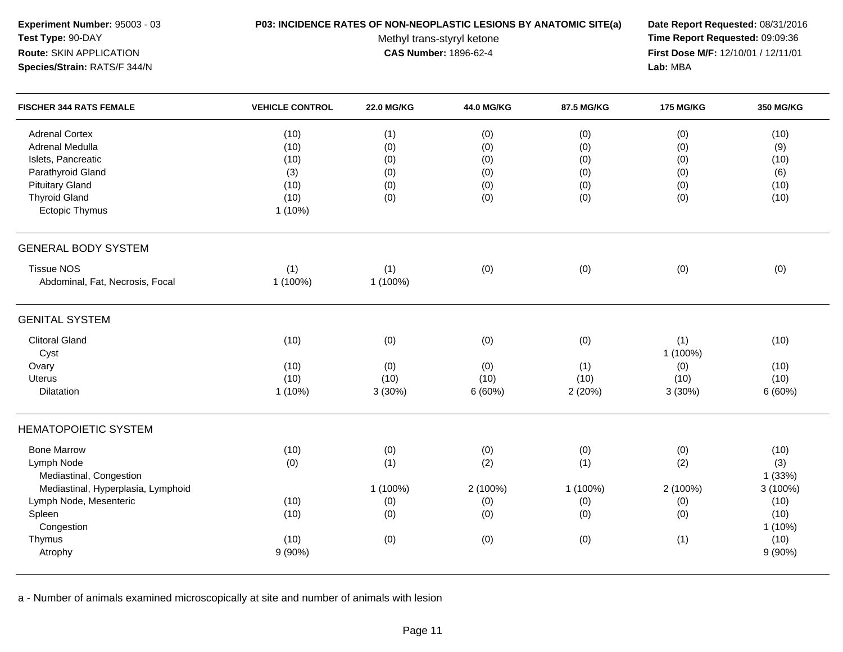| Experiment Number: 95003 - 03<br>Test Type: 90-DAY<br>Route: SKIN APPLICATION<br>Species/Strain: RATS/F 344/N | P03: INCIDENCE RATES OF NON-NEOPLASTIC LESIONS BY ANATOMIC SITE(a) | Date Report Requested: 08/31/2016<br>Time Report Requested: 09:09:36<br>First Dose M/F: 12/10/01 / 12/11/01<br>Lab: MBA |            |            |                  |                  |
|---------------------------------------------------------------------------------------------------------------|--------------------------------------------------------------------|-------------------------------------------------------------------------------------------------------------------------|------------|------------|------------------|------------------|
| <b>FISCHER 344 RATS FEMALE</b>                                                                                | <b>VEHICLE CONTROL</b>                                             | <b>22.0 MG/KG</b>                                                                                                       | 44.0 MG/KG | 87.5 MG/KG | <b>175 MG/KG</b> | <b>350 MG/KG</b> |
| <b>Adrenal Cortex</b>                                                                                         | (10)                                                               | (1)                                                                                                                     | (0)        | (0)        | (0)              | (10)             |
| <b>Adrenal Medulla</b>                                                                                        | (10)                                                               | (0)                                                                                                                     | (0)        | (0)        | (0)              | (9)              |
| Islets, Pancreatic                                                                                            | (10)                                                               | (0)                                                                                                                     | (0)        | (0)        | (0)              | (10)             |
| Parathyroid Gland                                                                                             | (3)                                                                | (0)                                                                                                                     | (0)        | (0)        | (0)              | (6)              |
| <b>Pituitary Gland</b>                                                                                        | (10)                                                               | (0)                                                                                                                     | (0)        | (0)        | (0)              | (10)             |
| <b>Thyroid Gland</b>                                                                                          | (10)                                                               | (0)                                                                                                                     | (0)        | (0)        | (0)              | (10)             |
| <b>Ectopic Thymus</b>                                                                                         | 1 (10%)                                                            |                                                                                                                         |            |            |                  |                  |
| <b>GENERAL BODY SYSTEM</b>                                                                                    |                                                                    |                                                                                                                         |            |            |                  |                  |
| <b>Tissue NOS</b>                                                                                             | (1)                                                                | (1)                                                                                                                     | (0)        | (0)        | (0)              | (0)              |
| Abdominal, Fat, Necrosis, Focal                                                                               | 1 (100%)                                                           | 1 (100%)                                                                                                                |            |            |                  |                  |
| <b>GENITAL SYSTEM</b>                                                                                         |                                                                    |                                                                                                                         |            |            |                  |                  |
| <b>Clitoral Gland</b>                                                                                         | (10)                                                               | (0)                                                                                                                     | (0)        | (0)        | (1)              | (10)             |
| Cyst                                                                                                          |                                                                    |                                                                                                                         |            |            | 1 (100%)         |                  |
| Ovary                                                                                                         | (10)                                                               | (0)                                                                                                                     | (0)        | (1)        | (0)              | (10)             |
| <b>Uterus</b>                                                                                                 | (10)                                                               | (10)                                                                                                                    | (10)       | (10)       | (10)             | (10)             |
| <b>Dilatation</b>                                                                                             | $1(10\%)$                                                          | 3(30%)                                                                                                                  | 6(60%)     | 2 (20%)    | 3 (30%)          | 6(60%)           |
| <b>HEMATOPOIETIC SYSTEM</b>                                                                                   |                                                                    |                                                                                                                         |            |            |                  |                  |
| <b>Bone Marrow</b>                                                                                            | (10)                                                               | (0)                                                                                                                     | (0)        | (0)        | (0)              | (10)             |
| Lymph Node                                                                                                    | (0)                                                                | (1)                                                                                                                     | (2)        | (1)        | (2)              | (3)              |
| Mediastinal, Congestion                                                                                       |                                                                    |                                                                                                                         |            |            |                  | 1(33%)           |
| Mediastinal, Hyperplasia, Lymphoid                                                                            |                                                                    | 1 (100%)                                                                                                                | 2 (100%)   | 1 (100%)   | 2 (100%)         | 3 (100%)         |
| Lymph Node, Mesenteric                                                                                        | (10)                                                               | (0)                                                                                                                     | (0)        | (0)        | (0)              | (10)             |
| Spleen                                                                                                        | (10)                                                               | (0)                                                                                                                     | (0)        | (0)        | (0)              | (10)             |
| Congestion                                                                                                    |                                                                    |                                                                                                                         |            |            |                  | $1(10\%)$        |
| Thymus                                                                                                        | (10)                                                               | (0)                                                                                                                     | (0)        | (0)        | (1)              | (10)             |
| Atrophy                                                                                                       | $9(90\%)$                                                          |                                                                                                                         |            |            |                  | $9(90\%)$        |
|                                                                                                               |                                                                    |                                                                                                                         |            |            |                  |                  |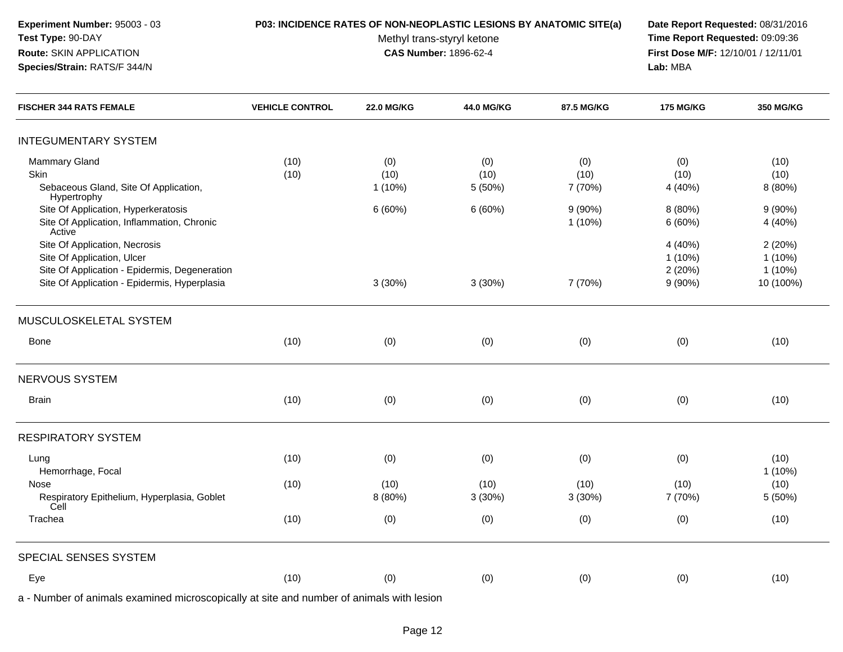### **P03: INCIDENCE RATES OF NON-NEOPLASTIC LESIONS BY ANATOMIC SITE(a) Date Report Requested:** 08/31/2016

Methyl trans-styryl ketone<br>CAS Number: 1896-62-4

 **Time Report Requested:** 09:09:36 **First Dose M/F:** 12/10/01 / 12/11/01<br>Lab: MBA **Lab:** MBA

| <b>FISCHER 344 RATS FEMALE</b>                                                                                                                               | <b>VEHICLE CONTROL</b> | <b>22.0 MG/KG</b>        | 44.0 MG/KG             | 87.5 MG/KG             | <b>175 MG/KG</b>                       | <b>350 MG/KG</b>                              |
|--------------------------------------------------------------------------------------------------------------------------------------------------------------|------------------------|--------------------------|------------------------|------------------------|----------------------------------------|-----------------------------------------------|
| <b>INTEGUMENTARY SYSTEM</b>                                                                                                                                  |                        |                          |                        |                        |                                        |                                               |
| Mammary Gland<br>Skin<br>Sebaceous Gland, Site Of Application,                                                                                               | (10)<br>(10)           | (0)<br>(10)<br>$1(10\%)$ | (0)<br>(10)<br>5 (50%) | (0)<br>(10)<br>7 (70%) | (0)<br>(10)<br>4 (40%)                 | (10)<br>(10)<br>8 (80%)                       |
| Hypertrophy<br>Site Of Application, Hyperkeratosis<br>Site Of Application, Inflammation, Chronic<br>Active                                                   |                        | 6(60%)                   | 6(60%)                 | $9(90\%)$<br>1(10%)    | 8 (80%)<br>6(60%)                      | $9(90\%)$<br>4 (40%)                          |
| Site Of Application, Necrosis<br>Site Of Application, Ulcer<br>Site Of Application - Epidermis, Degeneration<br>Site Of Application - Epidermis, Hyperplasia |                        | 3(30%)                   | 3(30%)                 | 7 (70%)                | 4 (40%)<br>1 (10%)<br>2(20%)<br>9(90%) | 2(20%)<br>$1(10\%)$<br>$1(10\%)$<br>10 (100%) |
| MUSCULOSKELETAL SYSTEM                                                                                                                                       |                        |                          |                        |                        |                                        |                                               |
| Bone                                                                                                                                                         | (10)                   | (0)                      | (0)                    | (0)                    | (0)                                    | (10)                                          |
| NERVOUS SYSTEM                                                                                                                                               |                        |                          |                        |                        |                                        |                                               |
| <b>Brain</b>                                                                                                                                                 | (10)                   | (0)                      | (0)                    | (0)                    | (0)                                    | (10)                                          |
| <b>RESPIRATORY SYSTEM</b>                                                                                                                                    |                        |                          |                        |                        |                                        |                                               |
| Lung<br>Hemorrhage, Focal                                                                                                                                    | (10)                   | (0)                      | (0)                    | (0)                    | (0)                                    | (10)<br>1(10%)                                |
| Nose<br>Respiratory Epithelium, Hyperplasia, Goblet<br>Cell                                                                                                  | (10)                   | (10)<br>8 (80%)          | (10)<br>3(30%)         | (10)<br>3(30%)         | (10)<br>7 (70%)                        | (10)<br>5 (50%)                               |
| Trachea                                                                                                                                                      | (10)                   | (0)                      | (0)                    | (0)                    | (0)                                    | (10)                                          |
| SPECIAL SENSES SYSTEM                                                                                                                                        |                        |                          |                        |                        |                                        |                                               |
| Eye                                                                                                                                                          | (10)                   | (0)                      | (0)                    | (0)                    | (0)                                    | (10)                                          |
| a - Number of animals examined microscopically at site and number of animals with lesion                                                                     |                        |                          |                        |                        |                                        |                                               |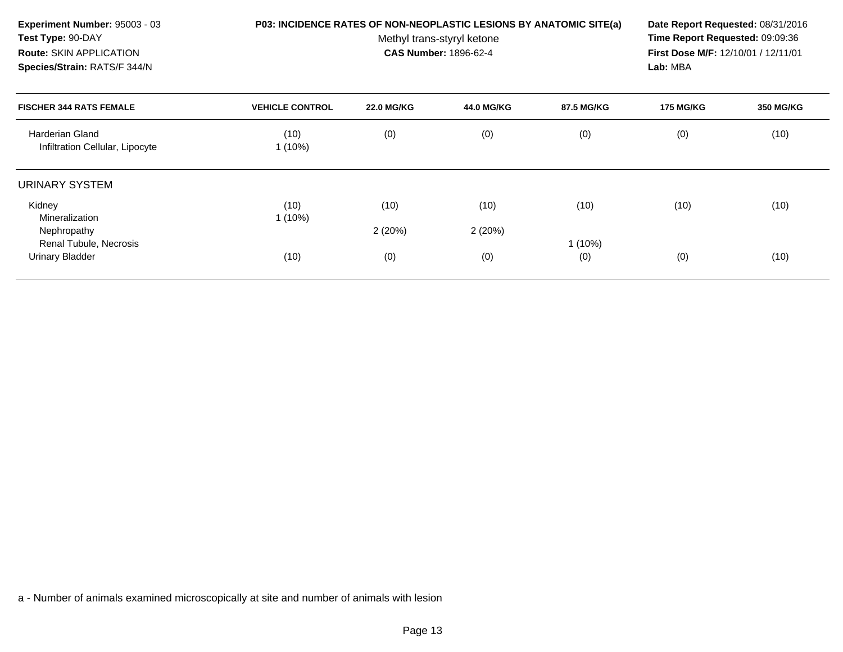| Experiment Number: 95003 - 03<br>Test Type: 90-DAY<br>Route: SKIN APPLICATION<br>Species/Strain: RATS/F 344/N | P03: INCIDENCE RATES OF NON-NEOPLASTIC LESIONS BY ANATOMIC SITE(a) | Date Report Requested: 08/31/2016<br>Time Report Requested: 09:09:36<br>First Dose M/F: 12/10/01 / 12/11/01<br>Lab: MBA |                   |            |                  |           |
|---------------------------------------------------------------------------------------------------------------|--------------------------------------------------------------------|-------------------------------------------------------------------------------------------------------------------------|-------------------|------------|------------------|-----------|
| <b>FISCHER 344 RATS FEMALE</b>                                                                                | <b>VEHICLE CONTROL</b>                                             | <b>22.0 MG/KG</b>                                                                                                       | <b>44.0 MG/KG</b> | 87.5 MG/KG | <b>175 MG/KG</b> | 350 MG/KG |
| <b>Harderian Gland</b><br>Infiltration Cellular, Lipocyte                                                     | (10)<br>$1(10\%)$                                                  | (0)                                                                                                                     | (0)               | (0)        | (0)              | (10)      |
| URINARY SYSTEM                                                                                                |                                                                    |                                                                                                                         |                   |            |                  |           |
| Kidney<br>Mineralization                                                                                      | (10)<br>$1(10\%)$                                                  | (10)                                                                                                                    | (10)              | (10)       | (10)             | (10)      |
| Nephropathy<br>Renal Tubule, Necrosis                                                                         |                                                                    | 2(20%)                                                                                                                  | 2(20%)            | $1(10\%)$  |                  |           |
| Urinary Bladder                                                                                               | (10)                                                               | (0)                                                                                                                     | (0)               | (0)        | (0)              | (10)      |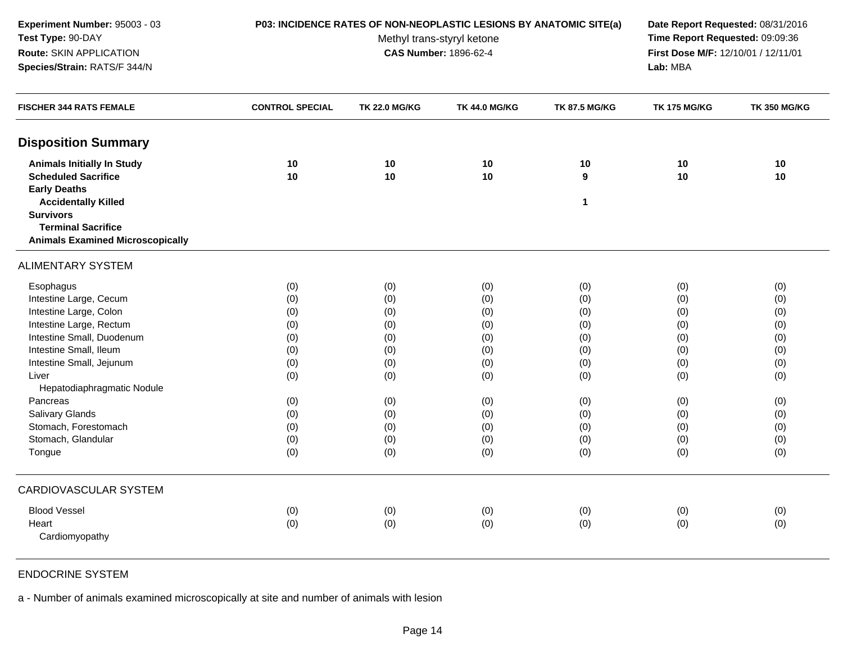| Experiment Number: 95003 - 03<br>Test Type: 90-DAY<br>Route: SKIN APPLICATION<br>Species/Strain: RATS/F 344/N                                                                                                                                                                                             | P03: INCIDENCE RATES OF NON-NEOPLASTIC LESIONS BY ANATOMIC SITE(a)<br>Methyl trans-styryl ketone<br><b>CAS Number: 1896-62-4</b> |                                                                                         |                                                                                         |                                                                                         | Date Report Requested: 08/31/2016<br>Time Report Requested: 09:09:36<br>First Dose M/F: 12/10/01 / 12/11/01<br>Lab: MBA |                                                                                         |
|-----------------------------------------------------------------------------------------------------------------------------------------------------------------------------------------------------------------------------------------------------------------------------------------------------------|----------------------------------------------------------------------------------------------------------------------------------|-----------------------------------------------------------------------------------------|-----------------------------------------------------------------------------------------|-----------------------------------------------------------------------------------------|-------------------------------------------------------------------------------------------------------------------------|-----------------------------------------------------------------------------------------|
| <b>FISCHER 344 RATS FEMALE</b>                                                                                                                                                                                                                                                                            | <b>CONTROL SPECIAL</b>                                                                                                           | <b>TK 22.0 MG/KG</b>                                                                    | <b>TK 44.0 MG/KG</b>                                                                    | <b>TK 87.5 MG/KG</b>                                                                    | <b>TK 175 MG/KG</b>                                                                                                     | <b>TK 350 MG/KG</b>                                                                     |
| <b>Disposition Summary</b>                                                                                                                                                                                                                                                                                |                                                                                                                                  |                                                                                         |                                                                                         |                                                                                         |                                                                                                                         |                                                                                         |
| <b>Animals Initially In Study</b><br><b>Scheduled Sacrifice</b><br><b>Early Deaths</b>                                                                                                                                                                                                                    | 10<br>10                                                                                                                         | 10<br>10                                                                                | 10<br>10                                                                                | 10<br>9                                                                                 | 10<br>10                                                                                                                | 10<br>10                                                                                |
| <b>Accidentally Killed</b><br><b>Survivors</b><br><b>Terminal Sacrifice</b><br><b>Animals Examined Microscopically</b>                                                                                                                                                                                    |                                                                                                                                  |                                                                                         |                                                                                         | $\mathbf{1}$                                                                            |                                                                                                                         |                                                                                         |
| <b>ALIMENTARY SYSTEM</b>                                                                                                                                                                                                                                                                                  |                                                                                                                                  |                                                                                         |                                                                                         |                                                                                         |                                                                                                                         |                                                                                         |
| Esophagus<br>Intestine Large, Cecum<br>Intestine Large, Colon<br>Intestine Large, Rectum<br>Intestine Small, Duodenum<br>Intestine Small, Ileum<br>Intestine Small, Jejunum<br>Liver<br>Hepatodiaphragmatic Nodule<br>Pancreas<br>Salivary Glands<br>Stomach, Forestomach<br>Stomach, Glandular<br>Tongue | (0)<br>(0)<br>(0)<br>(0)<br>(0)<br>(0)<br>(0)<br>(0)<br>(0)<br>(0)<br>(0)<br>(0)<br>(0)                                          | (0)<br>(0)<br>(0)<br>(0)<br>(0)<br>(0)<br>(0)<br>(0)<br>(0)<br>(0)<br>(0)<br>(0)<br>(0) | (0)<br>(0)<br>(0)<br>(0)<br>(0)<br>(0)<br>(0)<br>(0)<br>(0)<br>(0)<br>(0)<br>(0)<br>(0) | (0)<br>(0)<br>(0)<br>(0)<br>(0)<br>(0)<br>(0)<br>(0)<br>(0)<br>(0)<br>(0)<br>(0)<br>(0) | (0)<br>(0)<br>(0)<br>(0)<br>(0)<br>(0)<br>(0)<br>(0)<br>(0)<br>(0)<br>(0)<br>(0)<br>(0)                                 | (0)<br>(0)<br>(0)<br>(0)<br>(0)<br>(0)<br>(0)<br>(0)<br>(0)<br>(0)<br>(0)<br>(0)<br>(0) |
| <b>CARDIOVASCULAR SYSTEM</b>                                                                                                                                                                                                                                                                              |                                                                                                                                  |                                                                                         |                                                                                         |                                                                                         |                                                                                                                         |                                                                                         |
| <b>Blood Vessel</b><br>Heart<br>Cardiomyopathy                                                                                                                                                                                                                                                            | (0)<br>(0)                                                                                                                       | (0)<br>(0)                                                                              | (0)<br>(0)                                                                              | (0)<br>(0)                                                                              | (0)<br>(0)                                                                                                              | (0)<br>(0)                                                                              |

# ENDOCRINE SYSTEM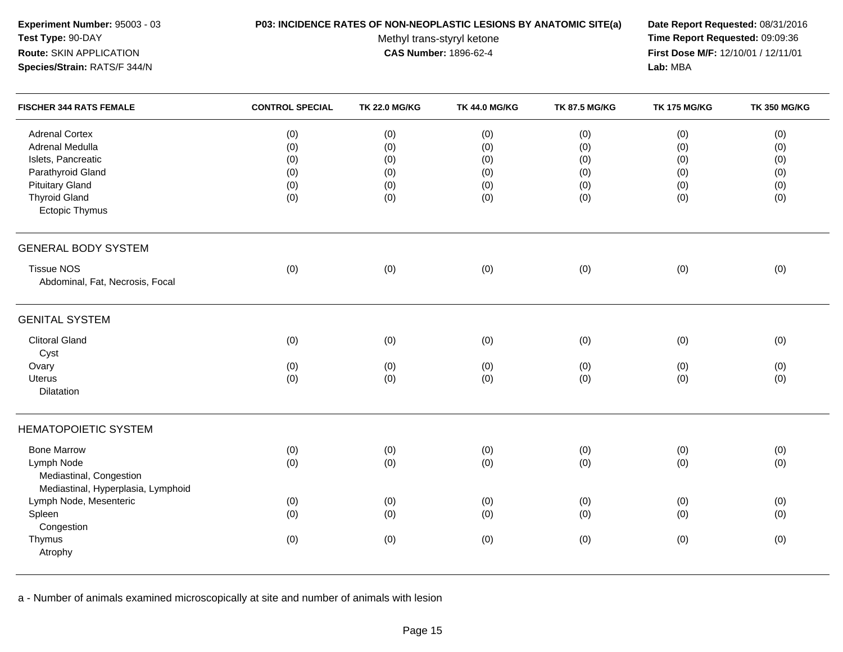| Experiment Number: 95003 - 03<br>Test Type: 90-DAY<br>Route: SKIN APPLICATION<br>Species/Strain: RATS/F 344/N | P03: INCIDENCE RATES OF NON-NEOPLASTIC LESIONS BY ANATOMIC SITE(a)<br>Methyl trans-styryl ketone<br>CAS Number: 1896-62-4 |                      |                      |                      | Date Report Requested: 08/31/2016<br>Time Report Requested: 09:09:36<br>First Dose M/F: 12/10/01 / 12/11/01<br>Lab: MBA |                     |
|---------------------------------------------------------------------------------------------------------------|---------------------------------------------------------------------------------------------------------------------------|----------------------|----------------------|----------------------|-------------------------------------------------------------------------------------------------------------------------|---------------------|
| <b>FISCHER 344 RATS FEMALE</b>                                                                                | <b>CONTROL SPECIAL</b>                                                                                                    | <b>TK 22.0 MG/KG</b> | <b>TK 44.0 MG/KG</b> | <b>TK 87.5 MG/KG</b> | <b>TK 175 MG/KG</b>                                                                                                     | <b>TK 350 MG/KG</b> |
| <b>Adrenal Cortex</b>                                                                                         | (0)                                                                                                                       | (0)                  | (0)                  | (0)                  | (0)                                                                                                                     | (0)                 |
| Adrenal Medulla                                                                                               | (0)                                                                                                                       | (0)                  | (0)                  | (0)                  | (0)                                                                                                                     | (0)                 |
| Islets, Pancreatic                                                                                            | (0)                                                                                                                       | (0)                  | (0)                  | (0)                  | (0)                                                                                                                     | (0)                 |
| Parathyroid Gland                                                                                             | (0)                                                                                                                       | (0)                  | (0)                  | (0)                  | (0)                                                                                                                     | (0)                 |
| <b>Pituitary Gland</b>                                                                                        | (0)                                                                                                                       | (0)                  | (0)                  | (0)                  | (0)                                                                                                                     | (0)                 |
| <b>Thyroid Gland</b><br>Ectopic Thymus                                                                        | (0)                                                                                                                       | (0)                  | (0)                  | (0)                  | (0)                                                                                                                     | (0)                 |
| <b>GENERAL BODY SYSTEM</b>                                                                                    |                                                                                                                           |                      |                      |                      |                                                                                                                         |                     |
| <b>Tissue NOS</b><br>Abdominal, Fat, Necrosis, Focal                                                          | (0)                                                                                                                       | (0)                  | (0)                  | (0)                  | (0)                                                                                                                     | (0)                 |
| <b>GENITAL SYSTEM</b>                                                                                         |                                                                                                                           |                      |                      |                      |                                                                                                                         |                     |
| <b>Clitoral Gland</b><br>Cyst                                                                                 | (0)                                                                                                                       | (0)                  | (0)                  | (0)                  | (0)                                                                                                                     | (0)                 |
| Ovary                                                                                                         | (0)                                                                                                                       | (0)                  | (0)                  | (0)                  | (0)                                                                                                                     | (0)                 |
| Uterus<br>Dilatation                                                                                          | (0)                                                                                                                       | (0)                  | (0)                  | (0)                  | (0)                                                                                                                     | (0)                 |
| <b>HEMATOPOIETIC SYSTEM</b>                                                                                   |                                                                                                                           |                      |                      |                      |                                                                                                                         |                     |
| <b>Bone Marrow</b>                                                                                            | (0)                                                                                                                       | (0)                  | (0)                  | (0)                  | (0)                                                                                                                     | (0)                 |
| Lymph Node<br>Mediastinal, Congestion<br>Mediastinal, Hyperplasia, Lymphoid                                   | (0)                                                                                                                       | (0)                  | (0)                  | (0)                  | (0)                                                                                                                     | (0)                 |
| Lymph Node, Mesenteric                                                                                        | (0)                                                                                                                       | (0)                  | (0)                  | (0)                  | (0)                                                                                                                     | (0)                 |
| Spleen<br>Congestion                                                                                          | (0)                                                                                                                       | (0)                  | (0)                  | (0)                  | (0)                                                                                                                     | (0)                 |
| Thymus<br>Atrophy                                                                                             | (0)                                                                                                                       | (0)                  | (0)                  | (0)                  | (0)                                                                                                                     | (0)                 |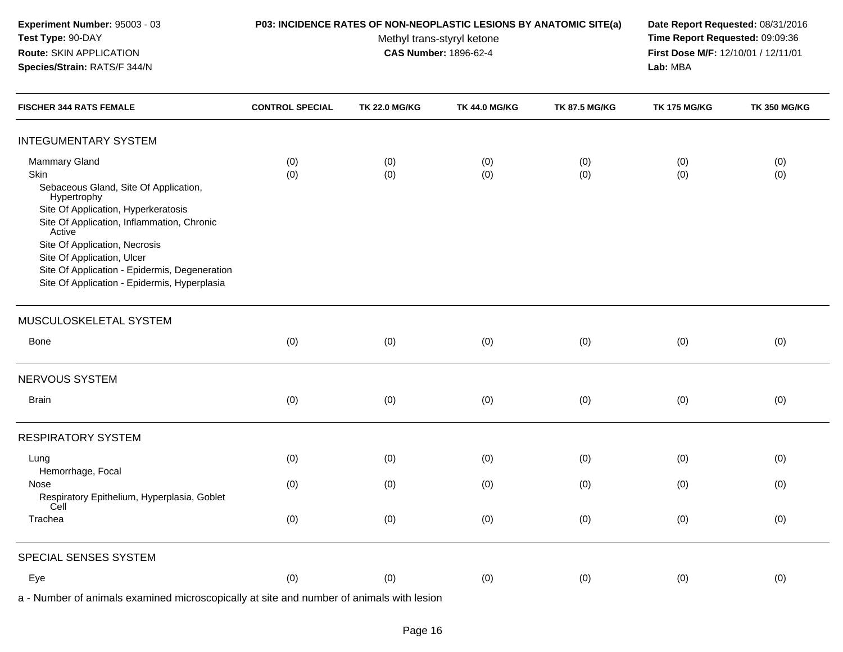| Experiment Number: 95003 - 03<br>Test Type: 90-DAY<br>Route: SKIN APPLICATION<br>Species/Strain: RATS/F 344/N                                                                                                                                                                                                                                |                        | P03: INCIDENCE RATES OF NON-NEOPLASTIC LESIONS BY ANATOMIC SITE(a)<br>Methyl trans-styryl ketone<br><b>CAS Number: 1896-62-4</b> | Date Report Requested: 08/31/2016<br>Time Report Requested: 09:09:36<br>First Dose M/F: 12/10/01 / 12/11/01<br>Lab: MBA |                      |                     |                     |
|----------------------------------------------------------------------------------------------------------------------------------------------------------------------------------------------------------------------------------------------------------------------------------------------------------------------------------------------|------------------------|----------------------------------------------------------------------------------------------------------------------------------|-------------------------------------------------------------------------------------------------------------------------|----------------------|---------------------|---------------------|
| <b>FISCHER 344 RATS FEMALE</b>                                                                                                                                                                                                                                                                                                               | <b>CONTROL SPECIAL</b> | <b>TK 22.0 MG/KG</b>                                                                                                             | <b>TK 44.0 MG/KG</b>                                                                                                    | <b>TK 87.5 MG/KG</b> | <b>TK 175 MG/KG</b> | <b>TK 350 MG/KG</b> |
| <b>INTEGUMENTARY SYSTEM</b>                                                                                                                                                                                                                                                                                                                  |                        |                                                                                                                                  |                                                                                                                         |                      |                     |                     |
| Mammary Gland<br>Skin<br>Sebaceous Gland, Site Of Application,<br>Hypertrophy<br>Site Of Application, Hyperkeratosis<br>Site Of Application, Inflammation, Chronic<br>Active<br>Site Of Application, Necrosis<br>Site Of Application, Ulcer<br>Site Of Application - Epidermis, Degeneration<br>Site Of Application - Epidermis, Hyperplasia | (0)<br>(0)             | (0)<br>(0)                                                                                                                       | (0)<br>(0)                                                                                                              | (0)<br>(0)           | (0)<br>(0)          | (0)<br>(0)          |
| MUSCULOSKELETAL SYSTEM                                                                                                                                                                                                                                                                                                                       |                        |                                                                                                                                  |                                                                                                                         |                      |                     |                     |
| Bone                                                                                                                                                                                                                                                                                                                                         | (0)                    | (0)                                                                                                                              | (0)                                                                                                                     | (0)                  | (0)                 | (0)                 |
| NERVOUS SYSTEM                                                                                                                                                                                                                                                                                                                               |                        |                                                                                                                                  |                                                                                                                         |                      |                     |                     |
| Brain                                                                                                                                                                                                                                                                                                                                        | (0)                    | (0)                                                                                                                              | (0)                                                                                                                     | (0)                  | (0)                 | (0)                 |
| <b>RESPIRATORY SYSTEM</b>                                                                                                                                                                                                                                                                                                                    |                        |                                                                                                                                  |                                                                                                                         |                      |                     |                     |
| Lung<br>Hemorrhage, Focal                                                                                                                                                                                                                                                                                                                    | (0)                    | (0)                                                                                                                              | (0)                                                                                                                     | (0)                  | (0)                 | (0)                 |
| Nose<br>Respiratory Epithelium, Hyperplasia, Goblet<br>Cell                                                                                                                                                                                                                                                                                  | (0)                    | (0)                                                                                                                              | (0)                                                                                                                     | (0)                  | (0)                 | (0)                 |
| Trachea                                                                                                                                                                                                                                                                                                                                      | (0)                    | (0)                                                                                                                              | (0)                                                                                                                     | (0)                  | (0)                 | (0)                 |
| SPECIAL SENSES SYSTEM                                                                                                                                                                                                                                                                                                                        |                        |                                                                                                                                  |                                                                                                                         |                      |                     |                     |
| Eye                                                                                                                                                                                                                                                                                                                                          | (0)                    | (0)                                                                                                                              | (0)                                                                                                                     | (0)                  | (0)                 | (0)                 |